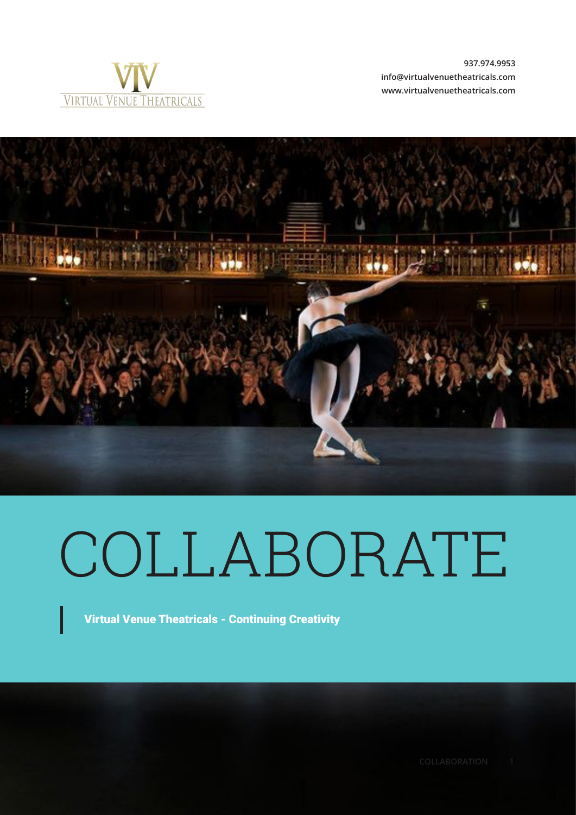

**937.974.9953 info@virtualvenuetheatricals.com www.virtualvenuetheatricals.com**



# COLLABORATE

Virtual Venue Theatricals - Continuing Creativity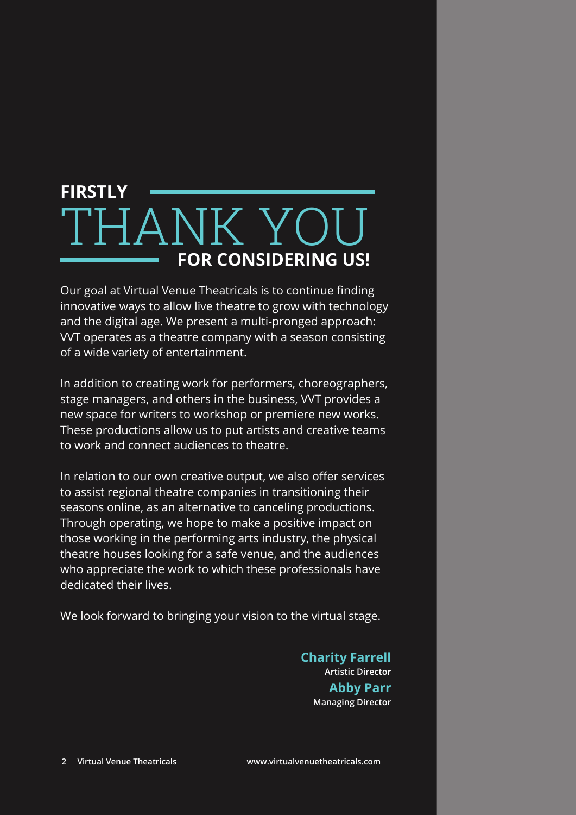### **FOR CONSIDERING US!** THANK YOU **FIRSTLY**

Our goal at Virtual Venue Theatricals is to continue finding innovative ways to allow live theatre to grow with technology and the digital age. We present a multi-pronged approach: VVT operates as a theatre company with a season consisting of a wide variety of entertainment.

In addition to creating work for performers, choreographers, stage managers, and others in the business, VVT provides a new space for writers to workshop or premiere new works. These productions allow us to put artists and creative teams to work and connect audiences to theatre.

In relation to our own creative output, we also offer services to assist regional theatre companies in transitioning their seasons online, as an alternative to canceling productions. Through operating, we hope to make a positive impact on those working in the performing arts industry, the physical theatre houses looking for a safe venue, and the audiences who appreciate the work to which these professionals have dedicated their lives.

We look forward to bringing your vision to the virtual stage.

**Artistic Director Charity Farrell Managing Director Abby Parr**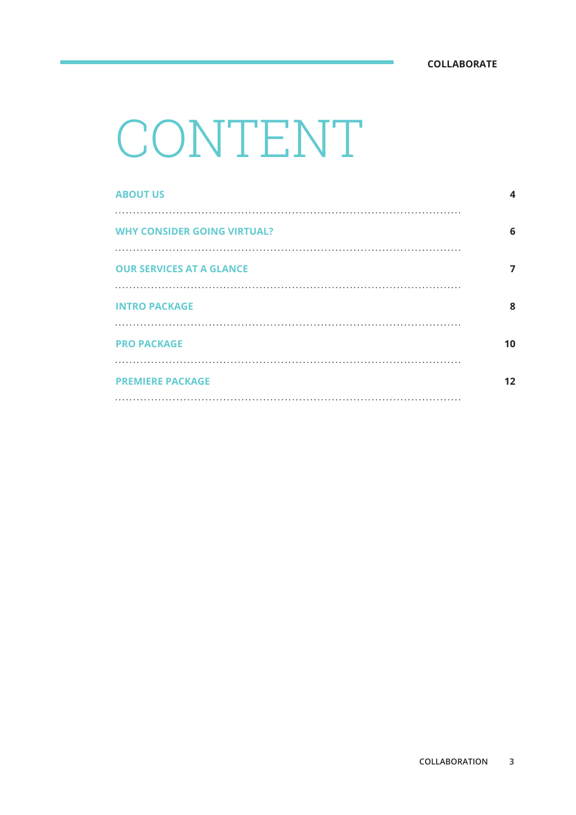## CONTENT

| 4  |
|----|
| 6  |
| 7  |
| 8  |
| 10 |
| 12 |
|    |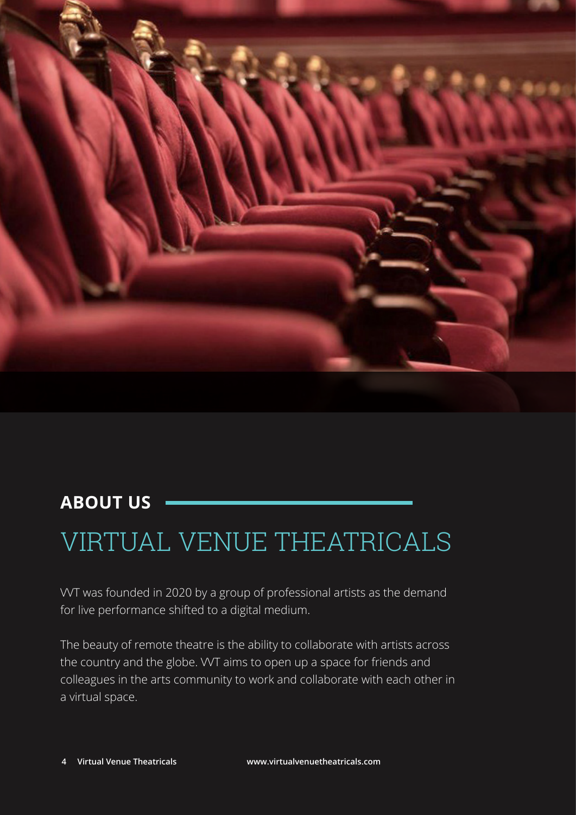

### **ABOUT US**

### VIRTUAL VENUE THEATRICALS

VVT was founded in 2020 by a group of professional artists as the demand for live performance shifted to a digital medium.

The beauty of remote theatre is the ability to collaborate with artists across the country and the globe. WT aims to open up a space for friends and colleagues in the arts community to work and collaborate with each other in a virtual space.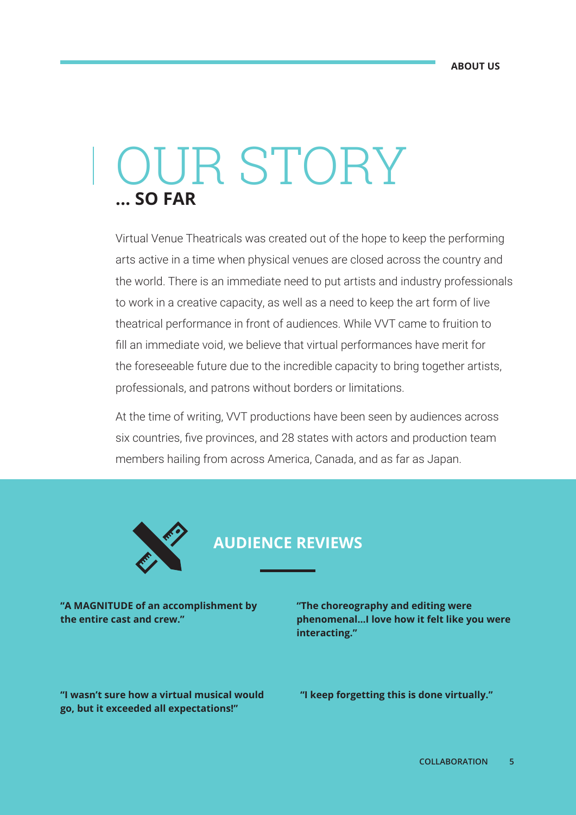## **... SO FAR** OUR STORY

Virtual Venue Theatricals was created out of the hope to keep the performing arts active in a time when physical venues are closed across the country and the world. There is an immediate need to put artists and industry professionals to work in a creative capacity, as well as a need to keep the art form of live theatrical performance in front of audiences. While VVT came to fruition to fill an immediate void, we believe that virtual performances have merit for the foreseeable future due to the incredible capacity to bring together artists, professionals, and patrons without borders or limitations.

At the time of writing, VVT productions have been seen by audiences across six countries, five provinces, and 28 states with actors and production team members hailing from across America, Canada, and as far as Japan.



#### **AUDIENCE REVIEWS**

**"A MAGNITUDE of an accomplishment by the entire cast and crew."**

**"The choreography and editing were phenomenal...I love how it felt like you were interacting."**

**"I wasn't sure how a virtual musical would go, but it exceeded all expectations!"**

**"I keep forgetting this is done virtually."**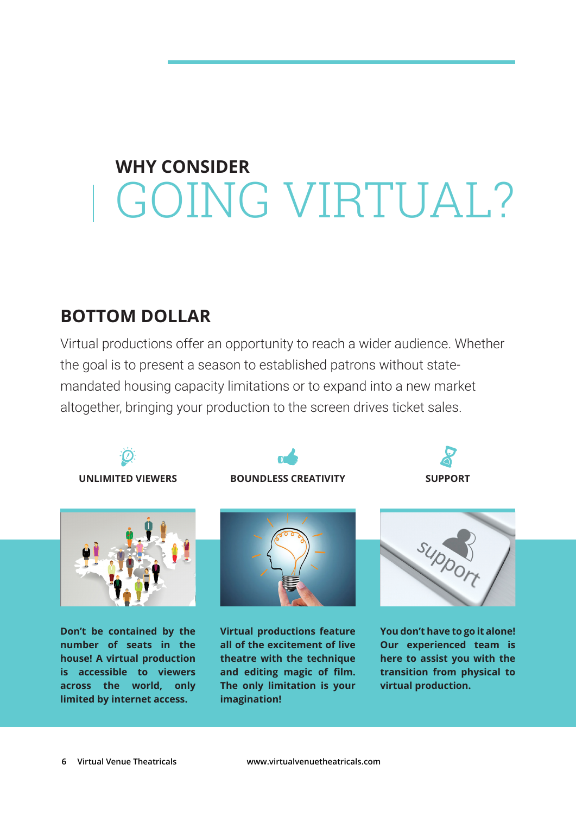## GOING VIRTUAL? **WHY CONSIDER**

### **BOTTOM DOLLAR**

Virtual productions offer an opportunity to reach a wider audience. Whether the goal is to present a season to established patrons without statemandated housing capacity limitations or to expand into a new market altogether, bringing your production to the screen drives ticket sales.



**imagination!**

**limited by internet access.**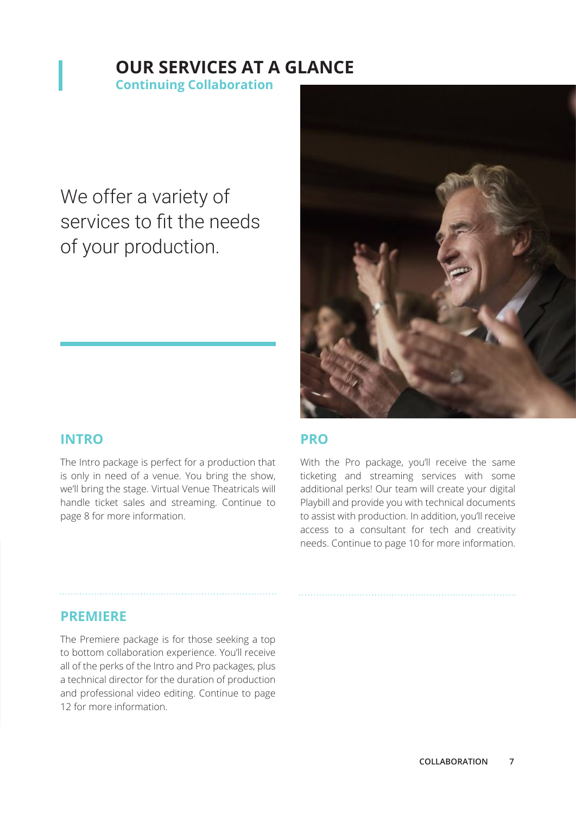### **OUR SERVICES AT A GLANCE**

**Continuing Collaboration**

We offer a variety of services to fit the needs of your production.



#### **INTRO**

The Intro package is perfect for a production that is only in need of a venue. You bring the show, we'll bring the stage. Virtual Venue Theatricals will handle ticket sales and streaming. Continue to page 8 for more information.

#### **PRO**

With the Pro package, you'll receive the same ticketing and streaming services with some additional perks! Our team will create your digital Playbill and provide you with technical documents to assist with production. In addition, you'll receive access to a consultant for tech and creativity needs. Continue to page 10 for more information.

#### **PREMIERE**

The Premiere package is for those seeking a top to bottom collaboration experience. You'll receive all of the perks of the Intro and Pro packages, plus a technical director for the duration of production and professional video editing. Continue to page 12 for more information.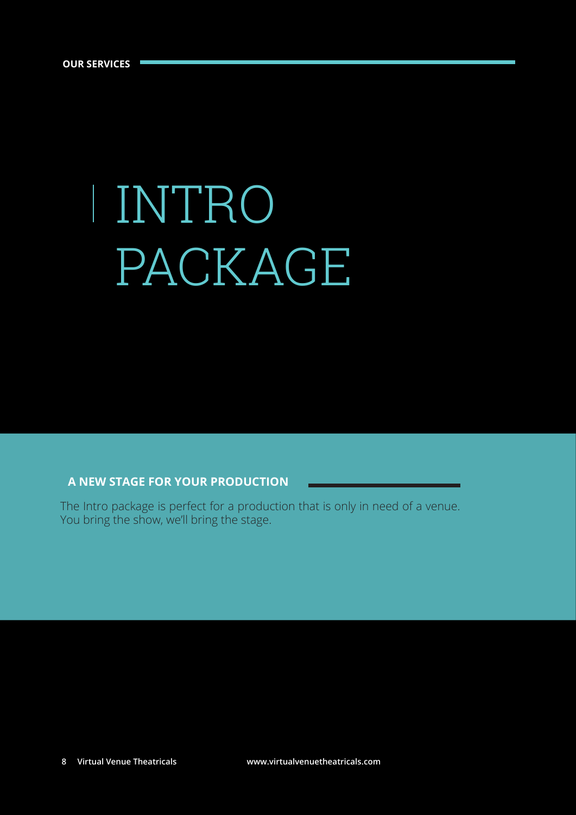# INTRO PACKAGE

#### **A NEW STAGE FOR YOUR PRODUCTION**

The Intro package is perfect for a production that is only in need of a venue. You bring the show, we'll bring the stage.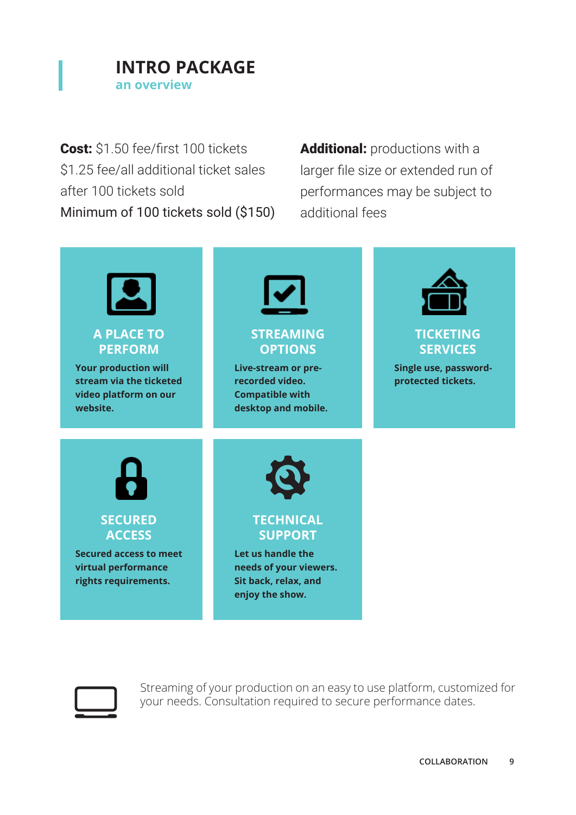

Cost: \$1.50 fee/first 100 tickets \$1.25 fee/all additional ticket sales after 100 tickets sold Minimum of 100 tickets sold (\$150) Additional: productions with a larger file size or extended run of performances may be subject to additional fees





Streaming of your production on an easy to use platform, customized for your needs. Consultation required to secure performance dates.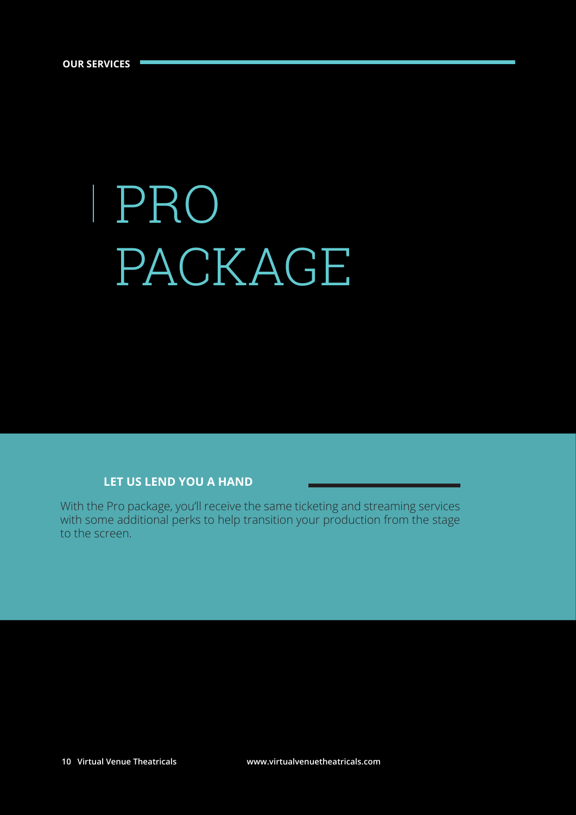# PRO PACKAGE

#### **LET US LEND YOU A HAND**

With the Pro package, you'll receive the same ticketing and streaming services with some additional perks to help transition your production from the stage to the screen.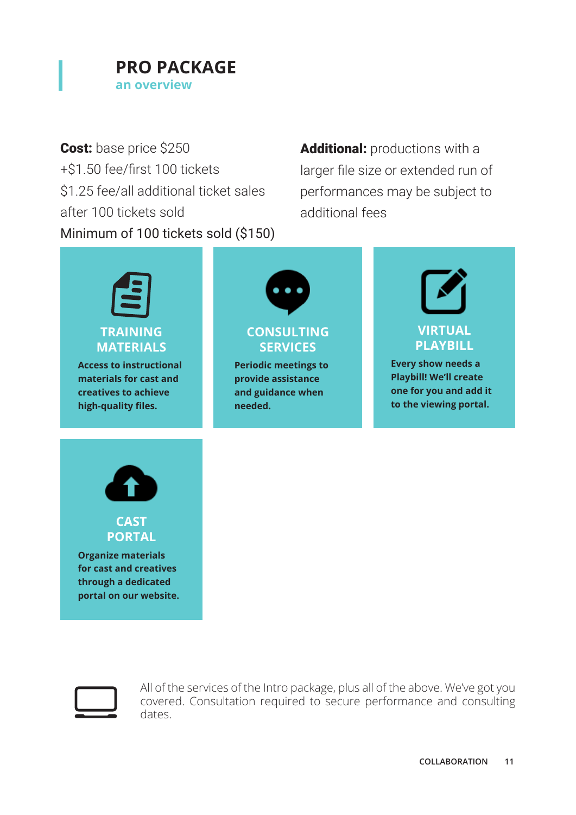

Cost: base price \$250 +\$1.50 fee/first 100 tickets \$1.25 fee/all additional ticket sales after 100 tickets sold Minimum of 100 tickets sold (\$150) Additional: productions with a larger file size or extended run of performances may be subject to additional fees





All of the services of the Intro package, plus all of the above. We've got you covered. Consultation required to secure performance and consulting dates.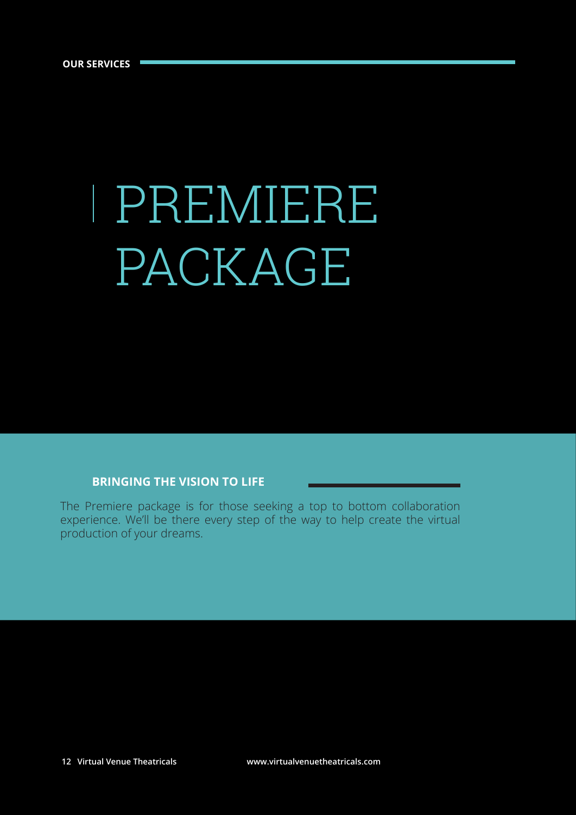# PREMIERE PACKAGE

#### **BRINGING THE VISION TO LIFE**

The Premiere package is for those seeking a top to bottom collaboration experience. We'll be there every step of the way to help create the virtual production of your dreams.